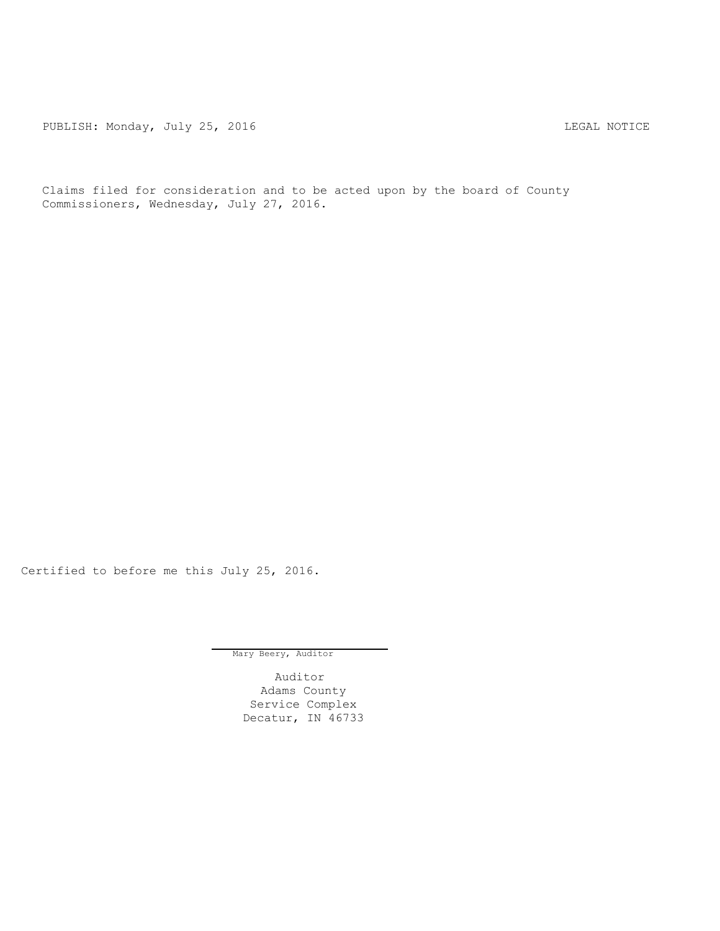PUBLISH: Monday, July 25, 2016 CHANGE CONSERVERT MOTICE

Claims filed for consideration and to be acted upon by the board of County Commissioners, Wednesday, July 27, 2016.

Certified to before me this July 25, 2016.

Mary Beery, Auditor

Auditor Adams County Service Complex Decatur, IN 46733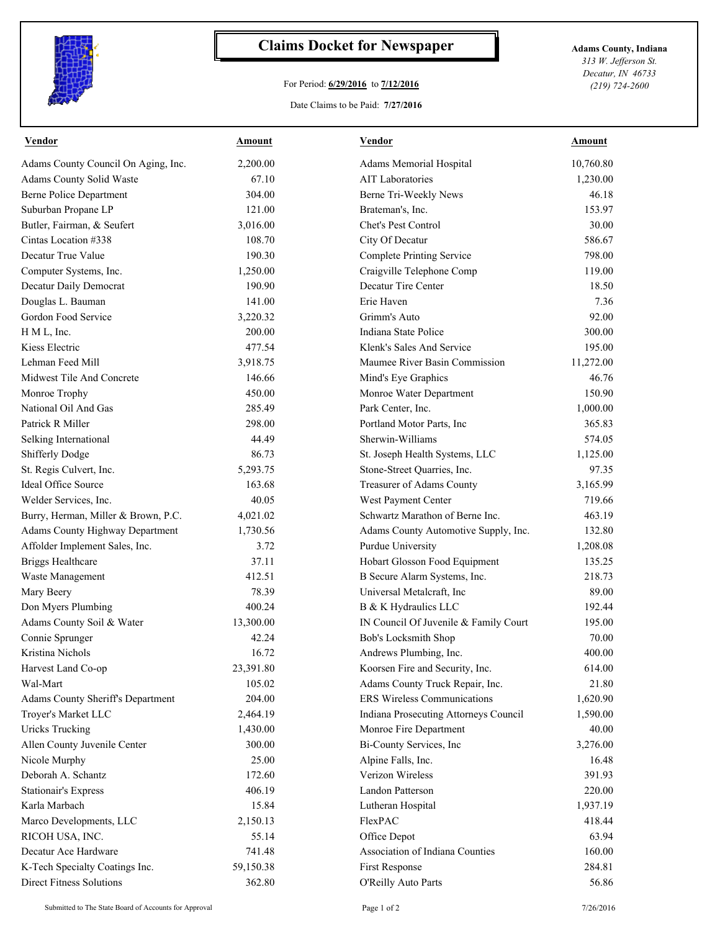

## **Claims Docket for Newspaper Adams County, Indiana**

## For Period: **6/29/2016** to **7/12/2016**

Date Claims to be Paid: **7/27/2016**

*313 W. Jefferson St. Decatur, IN 46733 (219) 724-2600*

| <b>Vendor</b>                          | <b>Amount</b> | <b>Vendor</b>                         | <b>Amount</b> |
|----------------------------------------|---------------|---------------------------------------|---------------|
| Adams County Council On Aging, Inc.    | 2,200.00      | Adams Memorial Hospital               | 10,760.80     |
| Adams County Solid Waste               | 67.10         | <b>AIT</b> Laboratories               | 1,230.00      |
| <b>Berne Police Department</b>         | 304.00        | Berne Tri-Weekly News                 | 46.18         |
| Suburban Propane LP                    | 121.00        | Brateman's, Inc.                      | 153.97        |
| Butler, Fairman, & Seufert             | 3,016.00      | Chet's Pest Control                   | 30.00         |
| Cintas Location #338                   | 108.70        | City Of Decatur                       | 586.67        |
| Decatur True Value                     | 190.30        | <b>Complete Printing Service</b>      | 798.00        |
| Computer Systems, Inc.                 | 1,250.00      | Craigville Telephone Comp             | 119.00        |
| Decatur Daily Democrat                 | 190.90        | Decatur Tire Center                   | 18.50         |
| Douglas L. Bauman                      | 141.00        | Erie Haven                            | 7.36          |
| Gordon Food Service                    | 3,220.32      | Grimm's Auto                          | 92.00         |
| H M L, Inc.                            | 200.00        | Indiana State Police                  | 300.00        |
| Kiess Electric                         | 477.54        | Klenk's Sales And Service             | 195.00        |
| Lehman Feed Mill                       | 3,918.75      | Maumee River Basin Commission         | 11,272.00     |
| Midwest Tile And Concrete              | 146.66        | Mind's Eye Graphics                   | 46.76         |
| Monroe Trophy                          | 450.00        | Monroe Water Department               | 150.90        |
| National Oil And Gas                   | 285.49        | Park Center, Inc.                     | 1,000.00      |
| Patrick R Miller                       | 298.00        | Portland Motor Parts, Inc             | 365.83        |
| Selking International                  | 44.49         | Sherwin-Williams                      | 574.05        |
| Shifferly Dodge                        | 86.73         | St. Joseph Health Systems, LLC        | 1,125.00      |
| St. Regis Culvert, Inc.                | 5,293.75      | Stone-Street Quarries, Inc.           | 97.35         |
| Ideal Office Source                    | 163.68        | Treasurer of Adams County             | 3,165.99      |
| Welder Services, Inc.                  | 40.05         | West Payment Center                   | 719.66        |
| Burry, Herman, Miller & Brown, P.C.    | 4,021.02      | Schwartz Marathon of Berne Inc.       | 463.19        |
| <b>Adams County Highway Department</b> | 1,730.56      | Adams County Automotive Supply, Inc.  | 132.80        |
| Affolder Implement Sales, Inc.         | 3.72          | Purdue University                     | 1,208.08      |
| <b>Briggs Healthcare</b>               | 37.11         | Hobart Glosson Food Equipment         | 135.25        |
| Waste Management                       | 412.51        | B Secure Alarm Systems, Inc.          | 218.73        |
| Mary Beery                             | 78.39         | Universal Metalcraft, Inc             | 89.00         |
| Don Myers Plumbing                     | 400.24        | B & K Hydraulics LLC                  | 192.44        |
| Adams County Soil & Water              | 13,300.00     | IN Council Of Juvenile & Family Court | 195.00        |
| Connie Sprunger                        | 42.24         | Bob's Locksmith Shop                  | 70.00         |
| Kristina Nichols                       | 16.72         | Andrews Plumbing, Inc.                | 400.00        |
| Harvest Land Co-op                     | 23,391.80     | Koorsen Fire and Security, Inc.       | 614.00        |
| Wal-Mart                               | 105.02        | Adams County Truck Repair, Inc.       | 21.80         |
| Adams County Sheriff's Department      | 204.00        | ERS Wireless Communications           | 1,620.90      |
| Troyer's Market LLC                    | 2,464.19      | Indiana Prosecuting Attorneys Council | 1,590.00      |
| <b>Uricks Trucking</b>                 | 1,430.00      | Monroe Fire Department                | 40.00         |
| Allen County Juvenile Center           | 300.00        | Bi-County Services, Inc               | 3,276.00      |
| Nicole Murphy                          | 25.00         | Alpine Falls, Inc.                    | 16.48         |
| Deborah A. Schantz                     | 172.60        | Verizon Wireless                      | 391.93        |
| <b>Stationair's Express</b>            | 406.19        | Landon Patterson                      | 220.00        |
| Karla Marbach                          | 15.84         | Lutheran Hospital                     | 1,937.19      |
| Marco Developments, LLC                | 2,150.13      | FlexPAC                               | 418.44        |
| RICOH USA, INC.                        | 55.14         | Office Depot                          | 63.94         |
| Decatur Ace Hardware                   | 741.48        | Association of Indiana Counties       | 160.00        |
| K-Tech Specialty Coatings Inc.         | 59,150.38     | First Response                        | 284.81        |
| <b>Direct Fitness Solutions</b>        | 362.80        | O'Reilly Auto Parts                   | 56.86         |